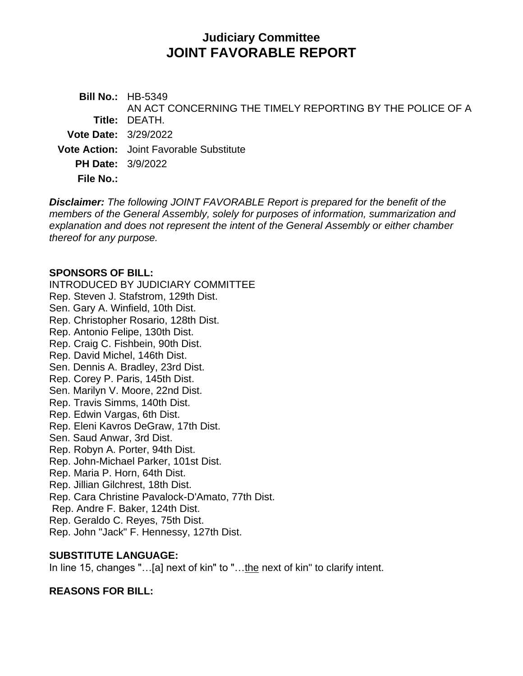# **Judiciary Committee JOINT FAVORABLE REPORT**

**Bill No.:** HB-5349 **Title:** DEATH. AN ACT CONCERNING THE TIMELY REPORTING BY THE POLICE OF A **Vote Date:** 3/29/2022 **Vote Action:** Joint Favorable Substitute **PH Date:** 3/9/2022

**File No.:**

*Disclaimer: The following JOINT FAVORABLE Report is prepared for the benefit of the members of the General Assembly, solely for purposes of information, summarization and explanation and does not represent the intent of the General Assembly or either chamber thereof for any purpose.*

#### **SPONSORS OF BILL:**

INTRODUCED BY JUDICIARY COMMITTEE Rep. Steven J. Stafstrom, 129th Dist. Sen. Gary A. Winfield, 10th Dist. Rep. Christopher Rosario, 128th Dist. Rep. Antonio Felipe, 130th Dist. Rep. Craig C. Fishbein, 90th Dist. Rep. David Michel, 146th Dist. Sen. Dennis A. Bradley, 23rd Dist. Rep. Corey P. Paris, 145th Dist. Sen. Marilyn V. Moore, 22nd Dist. Rep. Travis Simms, 140th Dist. Rep. Edwin Vargas, 6th Dist. Rep. Eleni Kavros DeGraw, 17th Dist. Sen. Saud Anwar, 3rd Dist. Rep. Robyn A. Porter, 94th Dist. Rep. John-Michael Parker, 101st Dist. Rep. Maria P. Horn, 64th Dist. Rep. Jillian Gilchrest, 18th Dist. Rep. Cara Christine Pavalock-D'Amato, 77th Dist. Rep. Andre F. Baker, 124th Dist. Rep. Geraldo C. Reyes, 75th Dist. Rep. John "Jack" F. Hennessy, 127th Dist.

#### **SUBSTITUTE LANGUAGE:**

In line 15, changes "...[a] next of kin" to "...the next of kin" to clarify intent.

#### **REASONS FOR BILL:**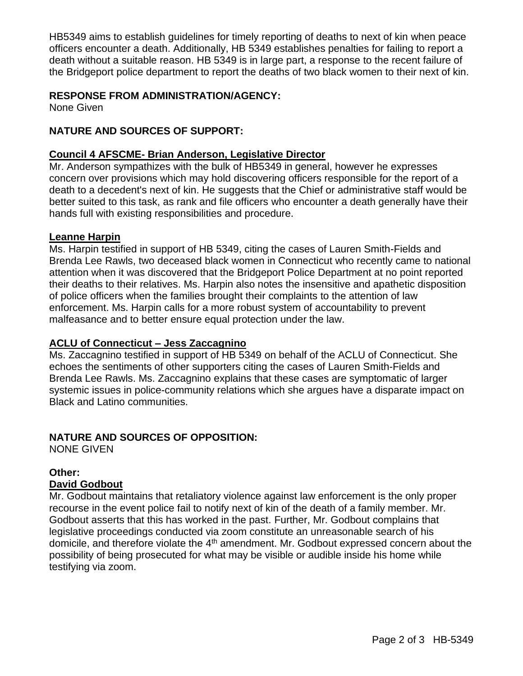HB5349 aims to establish guidelines for timely reporting of deaths to next of kin when peace officers encounter a death. Additionally, HB 5349 establishes penalties for failing to report a death without a suitable reason. HB 5349 is in large part, a response to the recent failure of the Bridgeport police department to report the deaths of two black women to their next of kin.

#### **RESPONSE FROM ADMINISTRATION/AGENCY:**

None Given

### **NATURE AND SOURCES OF SUPPORT:**

#### **Council 4 AFSCME- Brian Anderson, Legislative Director**

Mr. Anderson sympathizes with the bulk of HB5349 in general, however he expresses concern over provisions which may hold discovering officers responsible for the report of a death to a decedent's next of kin. He suggests that the Chief or administrative staff would be better suited to this task, as rank and file officers who encounter a death generally have their hands full with existing responsibilities and procedure.

#### **Leanne Harpin**

Ms. Harpin testified in support of HB 5349, citing the cases of Lauren Smith-Fields and Brenda Lee Rawls, two deceased black women in Connecticut who recently came to national attention when it was discovered that the Bridgeport Police Department at no point reported their deaths to their relatives. Ms. Harpin also notes the insensitive and apathetic disposition of police officers when the families brought their complaints to the attention of law enforcement. Ms. Harpin calls for a more robust system of accountability to prevent malfeasance and to better ensure equal protection under the law.

#### **ACLU of Connecticut – Jess Zaccagnino**

Ms. Zaccagnino testified in support of HB 5349 on behalf of the ACLU of Connecticut. She echoes the sentiments of other supporters citing the cases of Lauren Smith-Fields and Brenda Lee Rawls. Ms. Zaccagnino explains that these cases are symptomatic of larger systemic issues in police-community relations which she argues have a disparate impact on Black and Latino communities.

## **NATURE AND SOURCES OF OPPOSITION:**

NONE GIVEN

#### **Other:**

#### **David Godbout**

Mr. Godbout maintains that retaliatory violence against law enforcement is the only proper recourse in the event police fail to notify next of kin of the death of a family member. Mr. Godbout asserts that this has worked in the past. Further, Mr. Godbout complains that legislative proceedings conducted via zoom constitute an unreasonable search of his domicile, and therefore violate the  $4<sup>th</sup>$  amendment. Mr. Godbout expressed concern about the possibility of being prosecuted for what may be visible or audible inside his home while testifying via zoom.